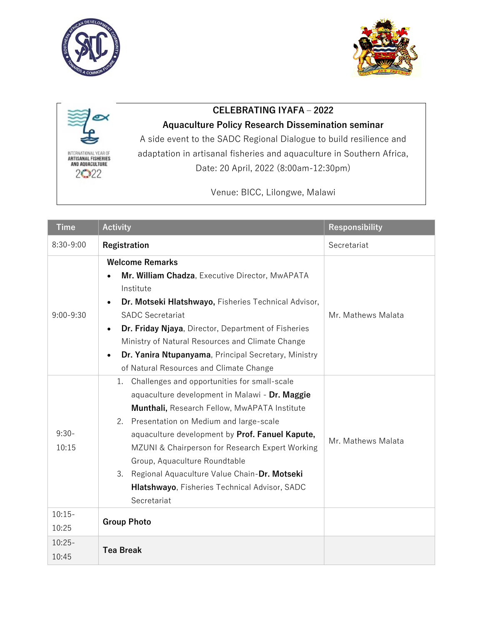





## **CELEBRATING IYAFA – 2022**

## **Aquaculture Policy Research Dissemination seminar**

A side event to the SADC Regional Dialogue to build resilience and adaptation in artisanal fisheries and aquaculture in Southern Africa, Date: 20 April, 2022 (8:00am-12:30pm)

Venue: BICC, Lilongwe, Malawi

| Time               | <b>Activity</b>                                                                                                                                                                                                                                                                                                                                                                                                                                                   | <b>Responsibility</b> |
|--------------------|-------------------------------------------------------------------------------------------------------------------------------------------------------------------------------------------------------------------------------------------------------------------------------------------------------------------------------------------------------------------------------------------------------------------------------------------------------------------|-----------------------|
| $8:30-9:00$        | Registration                                                                                                                                                                                                                                                                                                                                                                                                                                                      | Secretariat           |
| $9:00 - 9:30$      | <b>Welcome Remarks</b><br>Mr. William Chadza, Executive Director, MwAPATA<br>Institute<br>Dr. Motseki Hlatshwayo, Fisheries Technical Advisor,<br><b>SADC Secretariat</b><br>Dr. Friday Njaya, Director, Department of Fisheries<br>Ministry of Natural Resources and Climate Change<br>Dr. Yanira Ntupanyama, Principal Secretary, Ministry<br>of Natural Resources and Climate Change                                                                           | Mr. Mathews Malata    |
| $9:30-$<br>10:15   | Challenges and opportunities for small-scale<br>1.<br>aquaculture development in Malawi - Dr. Maggie<br>Munthali, Research Fellow, MwAPATA Institute<br>2.<br>Presentation on Medium and large-scale<br>aquaculture development by Prof. Fanuel Kapute,<br>MZUNI & Chairperson for Research Expert Working<br>Group, Aquaculture Roundtable<br>3.<br>Regional Aquaculture Value Chain-Dr. Motseki<br>Hlatshwayo, Fisheries Technical Advisor, SADC<br>Secretariat | Mr. Mathews Malata    |
| $10:15-$<br>10:25  | <b>Group Photo</b>                                                                                                                                                                                                                                                                                                                                                                                                                                                |                       |
| $10:25 -$<br>10:45 | <b>Tea Break</b>                                                                                                                                                                                                                                                                                                                                                                                                                                                  |                       |